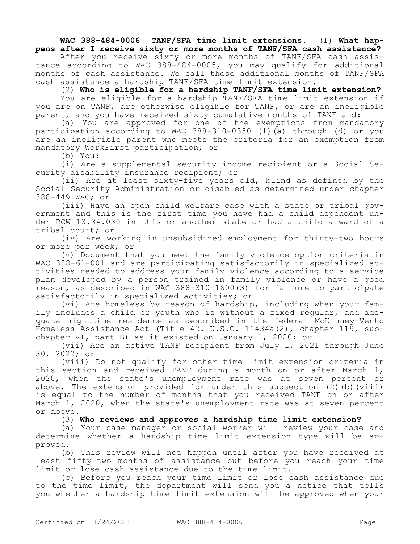## **WAC 388-484-0006 TANF/SFA time limit extensions.** (1) **What happens after I receive sixty or more months of TANF/SFA cash assistance?**

After you receive sixty or more months of TANF/SFA cash assistance according to WAC 388-484-0005, you may qualify for additional months of cash assistance. We call these additional months of TANF/SFA cash assistance a hardship TANF/SFA time limit extension.

(2) **Who is eligible for a hardship TANF/SFA time limit extension?**

You are eligible for a hardship TANF/SFA time limit extension if you are on TANF, are otherwise eligible for TANF, or are an ineligible parent, and you have received sixty cumulative months of TANF and:

(a) You are approved for one of the exemptions from mandatory participation according to WAC 388-310-0350 (1)(a) through (d) or you are an ineligible parent who meets the criteria for an exemption from mandatory WorkFirst participation; or

(b) You:

(i) Are a supplemental security income recipient or a Social Security disability insurance recipient; or

(ii) Are at least sixty-five years old, blind as defined by the Social Security Administration or disabled as determined under chapter 388-449 WAC; or

(iii) Have an open child welfare case with a state or tribal government and this is the first time you have had a child dependent under RCW 13.34.030 in this or another state or had a child a ward of a tribal court; or

(iv) Are working in unsubsidized employment for thirty-two hours or more per week; or

(v) Document that you meet the family violence option criteria in WAC 388-61-001 and are participating satisfactorily in specialized activities needed to address your family violence according to a service plan developed by a person trained in family violence or have a good reason, as described in WAC 388-310-1600(3) for failure to participate satisfactorily in specialized activities; or

(vi) Are homeless by reason of hardship, including when your family includes a child or youth who is without a fixed regular, and adequate nighttime residence as described in the federal McKinney-Vento Homeless Assistance Act (Title 42. U.S.C. 11434a(2), chapter 119, subchapter VI, part B) as it existed on January 1, 2020; or

(vii) Are an active TANF recipient from July 1, 2021 through June 30, 2022; or

(viii) Do not qualify for other time limit extension criteria in this section and received TANF during a month on or after March 1, 2020, when the state's unemployment rate was at seven percent or above. The extension provided for under this subsection (2)(b)(viii) is equal to the number of months that you received TANF on or after March 1, 2020, when the state's unemployment rate was at seven percent or above.

(3) **Who reviews and approves a hardship time limit extension?**

(a) Your case manager or social worker will review your case and determine whether a hardship time limit extension type will be approved.

(b) This review will not happen until after you have received at least fifty-two months of assistance but before you reach your time limit or lose cash assistance due to the time limit.

(c) Before you reach your time limit or lose cash assistance due to the time limit, the department will send you a notice that tells you whether a hardship time limit extension will be approved when your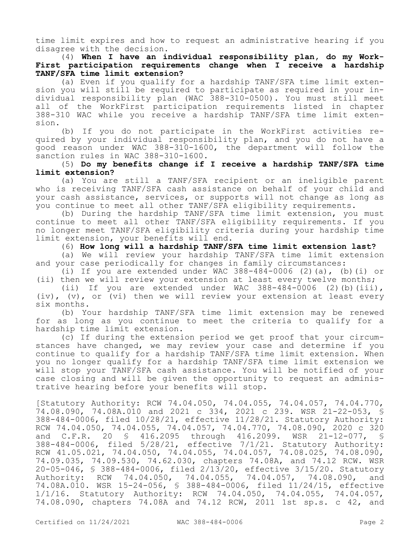time limit expires and how to request an administrative hearing if you disagree with the decision.

(4) **When I have an individual responsibility plan, do my Work-First participation requirements change when I receive a hardship TANF/SFA time limit extension?**

(a) Even if you qualify for a hardship TANF/SFA time limit extension you will still be required to participate as required in your individual responsibility plan (WAC 388-310-0500). You must still meet all of the WorkFirst participation requirements listed in chapter 388-310 WAC while you receive a hardship TANF/SFA time limit extension.

(b) If you do not participate in the WorkFirst activities required by your individual responsibility plan, and you do not have a good reason under WAC 388-310-1600, the department will follow the sanction rules in WAC 388-310-1600.

## (5) **Do my benefits change if I receive a hardship TANF/SFA time limit extension?**

(a) You are still a TANF/SFA recipient or an ineligible parent who is receiving TANF/SFA cash assistance on behalf of your child and your cash assistance, services, or supports will not change as long as you continue to meet all other TANF/SFA eligibility requirements.

(b) During the hardship TANF/SFA time limit extension, you must continue to meet all other TANF/SFA eligibility requirements. If you no longer meet TANF/SFA eligibility criteria during your hardship time limit extension, your benefits will end.

(6) **How long will a hardship TANF/SFA time limit extension last?**

(a) We will review your hardship TANF/SFA time limit extension and your case periodically for changes in family circumstances:

(i) If you are extended under WAC  $388-484-0006$  (2)(a), (b)(i) or (ii) then we will review your extension at least every twelve months;

(ii) If you are extended under WAC  $388-484-0006$  (2)(b)(iii), (iv), (v), or (vi) then we will review your extension at least every six months.

(b) Your hardship TANF/SFA time limit extension may be renewed for as long as you continue to meet the criteria to qualify for a hardship time limit extension.

(c) If during the extension period we get proof that your circumstances have changed, we may review your case and determine if you continue to qualify for a hardship TANF/SFA time limit extension. When you no longer qualify for a hardship TANF/SFA time limit extension we will stop your TANF/SFA cash assistance. You will be notified of your case closing and will be given the opportunity to request an administrative hearing before your benefits will stop.

[Statutory Authority: RCW 74.04.050, 74.04.055, 74.04.057, 74.04.770, 74.08.090, 74.08A.010 and 2021 c 334, 2021 c 239. WSR 21-22-053, § 388-484-0006, filed 10/28/21, effective 11/28/21. Statutory Authority: RCW 74.04.050, 74.04.055, 74.04.057, 74.04.770, 74.08.090, 2020 c 320<br>and C.F.R. 20 \$ 416.2095 through 416.2099. WSR 21-12-077, \$ and C.F.R. 20 § 416.2095 through 416.2099. WSR 21-12-077, § 388-484-0006, filed 5/28/21, effective 7/1/21. Statutory Authority: RCW 41.05.021, 74.04.050, 74.04.055, 74.04.057, 74.08.025, 74.08.090, 74.09.035, 74.09.530, 74.62.030, chapters 74.08A, and 74.12 RCW. WSR 20-05-046, § 388-484-0006, filed 2/13/20, effective 3/15/20. Statutory Authority: RCW 74.04.050, 74.04.055, 74.04.057, 74.08.090, and 74.08A.010. WSR 15-24-056, § 388-484-0006, filed 11/24/15, effective 1/1/16. Statutory Authority: RCW 74.04.050, 74.04.055, 74.04.057, 74.08.090, chapters 74.08A and 74.12 RCW, 2011 1st sp.s. c 42, and